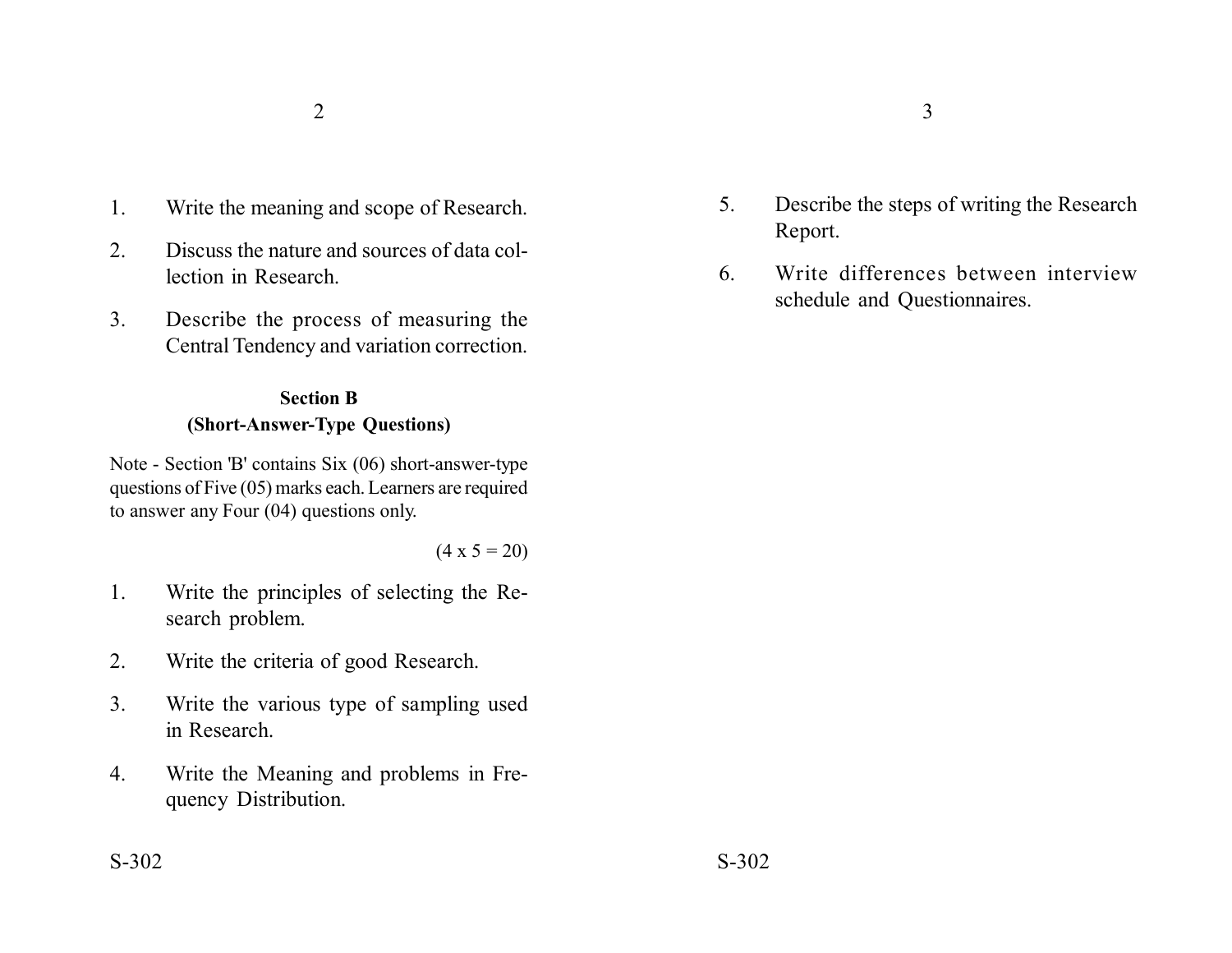- 1. Write the meaning and scope of Research.
- 2. Discuss the nature and sources of data collection in Research.
- 3. Describe the process of measuring the Central Tendency and variation correction.

## **Section B (Short-Answer-Type Questions)**

Note - Section 'B' contains Six (06) short-answer-type questions of Five (05) marks each. Learners are required to answer any Four (04) questions only.

 $(4 \times 5 = 20)$ 

- 1. Write the principles of selecting the Research problem.
- 2. Write the criteria of good Research.
- 3. Write the various type of sampling used in Research.
- 4. Write the Meaning and problems in Frequency Distribution.
- 5. Describe the steps of writing the Research Report.
- 6. Write differences between interview schedule and Questionnaires.